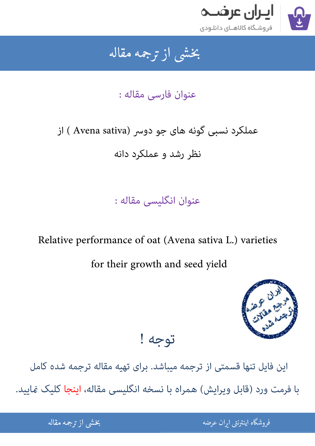

### جمه مقاله شی از تر بخشی از :

## عنوان فارسی مقاله :

# عملکرد نسبی گونه های جو دوسر (Avena sativa ) از

نظر رشد و عملکرد دانه

عنوان انگلیسی مقاله :

## Relative performance of oat (Avena sativa L.) varieties

for their growth and seed yield



[این فایل تنها قسمتی از ترجمه میباشد. برای تهیه مقاله ترجمه شده کامل](http://iranarze.ir/performance+oat+avena+sativa+varieties+growth+seed) 

توجه !

با فرمت ورد (قابل ویرایش) همراه با نسخه انگلیسی مقاله، اینجا کلیک نمایید.

֦֘ ه اينترنتي ايران عرضه مستخدم استخدام المستخدم المستخدم المستخدم المستخدم المستخدم المستخدم المستخدم المستخدم ا ֧֚֚֚֚֚֚֚֚֚֚֚֚֚֚֚֚֚֚֚֚֚֚֚֚֬֡֡֡֡֡֡֡֡֡֬֝֝֓֡֡֬

شی از ترجمه <mark>مقا</mark>له